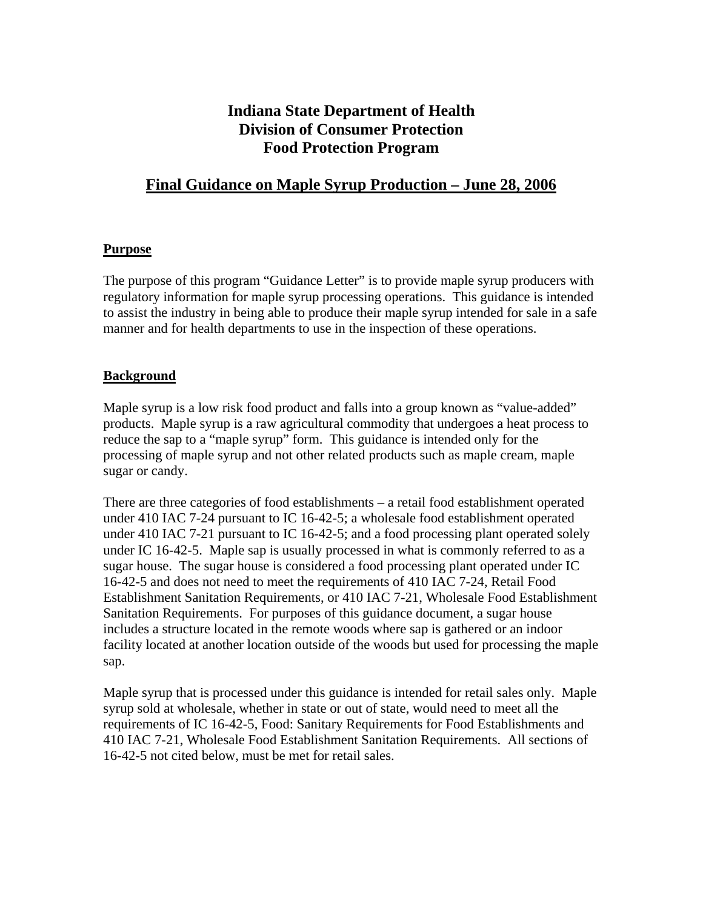# **Indiana State Department of Health Division of Consumer Protection Food Protection Program**

# **Final Guidance on Maple Syrup Production – June 28, 2006**

### **Purpose**

The purpose of this program "Guidance Letter" is to provide maple syrup producers with regulatory information for maple syrup processing operations. This guidance is intended to assist the industry in being able to produce their maple syrup intended for sale in a safe manner and for health departments to use in the inspection of these operations.

### **Background**

Maple syrup is a low risk food product and falls into a group known as "value-added" products. Maple syrup is a raw agricultural commodity that undergoes a heat process to reduce the sap to a "maple syrup" form. This guidance is intended only for the processing of maple syrup and not other related products such as maple cream, maple sugar or candy.

There are three categories of food establishments – a retail food establishment operated under 410 IAC 7-24 pursuant to IC 16-42-5; a wholesale food establishment operated under 410 IAC 7-21 pursuant to IC 16-42-5; and a food processing plant operated solely under IC 16-42-5. Maple sap is usually processed in what is commonly referred to as a sugar house. The sugar house is considered a food processing plant operated under IC 16-42-5 and does not need to meet the requirements of 410 IAC 7-24, Retail Food Establishment Sanitation Requirements, or 410 IAC 7-21, Wholesale Food Establishment Sanitation Requirements. For purposes of this guidance document, a sugar house includes a structure located in the remote woods where sap is gathered or an indoor facility located at another location outside of the woods but used for processing the maple sap.

Maple syrup that is processed under this guidance is intended for retail sales only. Maple syrup sold at wholesale, whether in state or out of state, would need to meet all the requirements of IC 16-42-5, Food: Sanitary Requirements for Food Establishments and 410 IAC 7-21, Wholesale Food Establishment Sanitation Requirements. All sections of 16-42-5 not cited below, must be met for retail sales.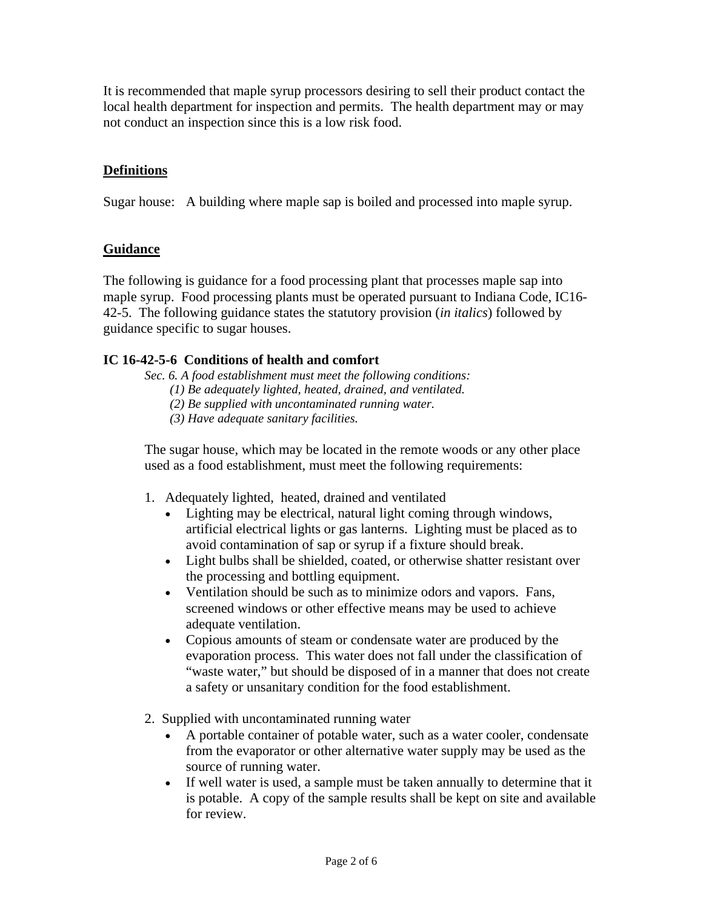It is recommended that maple syrup processors desiring to sell their product contact the local health department for inspection and permits. The health department may or may not conduct an inspection since this is a low risk food.

# **Definitions**

Sugar house: A building where maple sap is boiled and processed into maple syrup.

# **Guidance**

The following is guidance for a food processing plant that processes maple sap into maple syrup. Food processing plants must be operated pursuant to Indiana Code, IC16- 42-5. The following guidance states the statutory provision (*in italics*) followed by guidance specific to sugar houses.

### **IC 16-42-5-6 Conditions of health and comfort**

*Sec. 6. A food establishment must meet the following conditions:* 

- *(1) Be adequately lighted, heated, drained, and ventilated.*
- *(2) Be supplied with uncontaminated running water.*
- *(3) Have adequate sanitary facilities.*

 The sugar house, which may be located in the remote woods or any other place used as a food establishment, must meet the following requirements:

- 1. Adequately lighted, heated, drained and ventilated
	- Lighting may be electrical, natural light coming through windows, artificial electrical lights or gas lanterns. Lighting must be placed as to avoid contamination of sap or syrup if a fixture should break.
	- Light bulbs shall be shielded, coated, or otherwise shatter resistant over the processing and bottling equipment.
	- Ventilation should be such as to minimize odors and vapors. Fans, screened windows or other effective means may be used to achieve adequate ventilation.
	- Copious amounts of steam or condensate water are produced by the evaporation process. This water does not fall under the classification of "waste water," but should be disposed of in a manner that does not create a safety or unsanitary condition for the food establishment.
- 2. Supplied with uncontaminated running water
	- A portable container of potable water, such as a water cooler, condensate from the evaporator or other alternative water supply may be used as the source of running water.
	- If well water is used, a sample must be taken annually to determine that it is potable. A copy of the sample results shall be kept on site and available for review.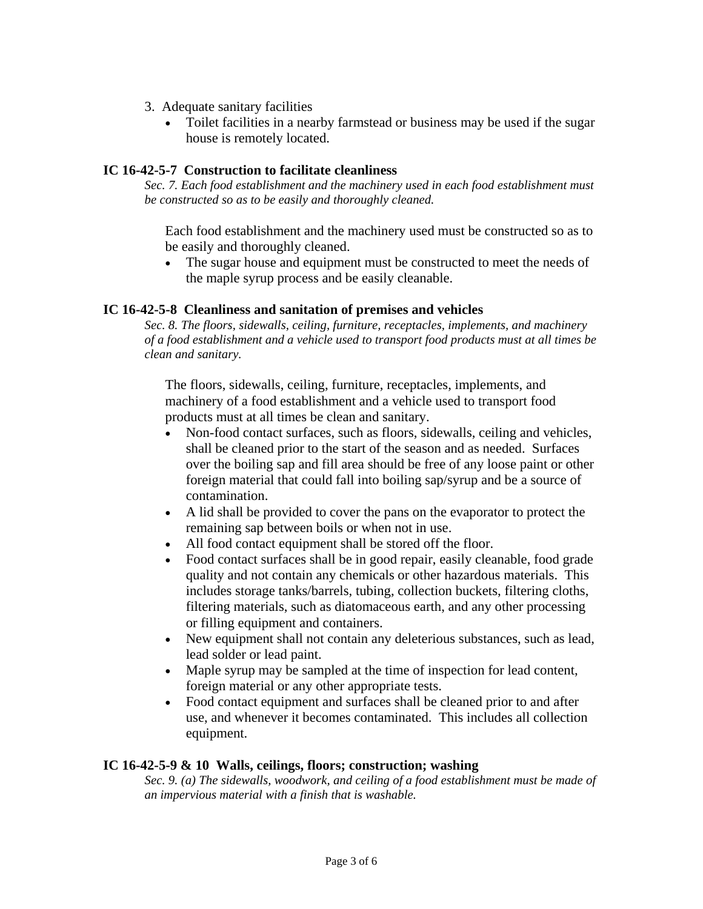- 3. Adequate sanitary facilities
	- Toilet facilities in a nearby farmstead or business may be used if the sugar house is remotely located.

#### **IC 16-42-5-7 Construction to facilitate cleanliness**

*Sec. 7. Each food establishment and the machinery used in each food establishment must be constructed so as to be easily and thoroughly cleaned.* 

 Each food establishment and the machinery used must be constructed so as to be easily and thoroughly cleaned.

• The sugar house and equipment must be constructed to meet the needs of the maple syrup process and be easily cleanable.

### **IC 16-42-5-8 Cleanliness and sanitation of premises and vehicles**

*Sec. 8. The floors, sidewalls, ceiling, furniture, receptacles, implements, and machinery of a food establishment and a vehicle used to transport food products must at all times be clean and sanitary.* 

 The floors, sidewalls, ceiling, furniture, receptacles, implements, and machinery of a food establishment and a vehicle used to transport food products must at all times be clean and sanitary.

- Non-food contact surfaces, such as floors, sidewalls, ceiling and vehicles, shall be cleaned prior to the start of the season and as needed. Surfaces over the boiling sap and fill area should be free of any loose paint or other foreign material that could fall into boiling sap/syrup and be a source of contamination.
- A lid shall be provided to cover the pans on the evaporator to protect the remaining sap between boils or when not in use.
- All food contact equipment shall be stored off the floor.
- Food contact surfaces shall be in good repair, easily cleanable, food grade quality and not contain any chemicals or other hazardous materials. This includes storage tanks/barrels, tubing, collection buckets, filtering cloths, filtering materials, such as diatomaceous earth, and any other processing or filling equipment and containers.
- New equipment shall not contain any deleterious substances, such as lead, lead solder or lead paint.
- Maple syrup may be sampled at the time of inspection for lead content, foreign material or any other appropriate tests.
- Food contact equipment and surfaces shall be cleaned prior to and after use, and whenever it becomes contaminated. This includes all collection equipment.

#### **IC 16-42-5-9 & 10 Walls, ceilings, floors; construction; washing**

*Sec. 9. (a) The sidewalls, woodwork, and ceiling of a food establishment must be made of an impervious material with a finish that is washable.*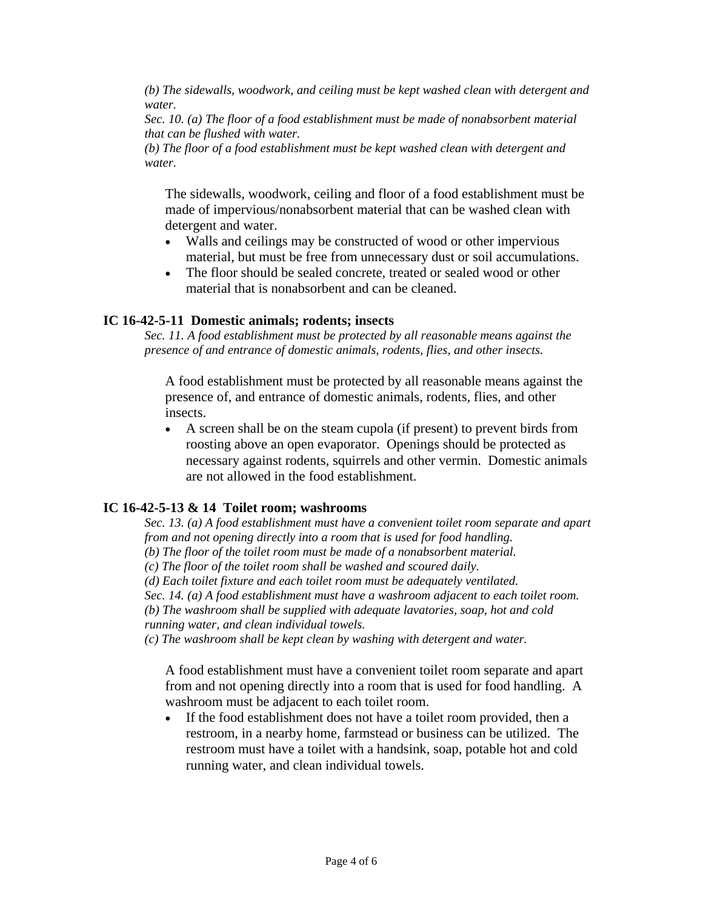*(b) The sidewalls, woodwork, and ceiling must be kept washed clean with detergent and water.* 

*Sec. 10. (a) The floor of a food establishment must be made of nonabsorbent material that can be flushed with water.* 

*(b) The floor of a food establishment must be kept washed clean with detergent and water.* 

 The sidewalls, woodwork, ceiling and floor of a food establishment must be made of impervious/nonabsorbent material that can be washed clean with detergent and water.

- Walls and ceilings may be constructed of wood or other impervious material, but must be free from unnecessary dust or soil accumulations.
- The floor should be sealed concrete, treated or sealed wood or other material that is nonabsorbent and can be cleaned.

#### **IC 16-42-5-11 Domestic animals; rodents; insects**

*Sec. 11. A food establishment must be protected by all reasonable means against the presence of and entrance of domestic animals, rodents, flies, and other insects.* 

 A food establishment must be protected by all reasonable means against the presence of, and entrance of domestic animals, rodents, flies, and other insects.

• A screen shall be on the steam cupola (if present) to prevent birds from roosting above an open evaporator. Openings should be protected as necessary against rodents, squirrels and other vermin. Domestic animals are not allowed in the food establishment.

#### **IC 16-42-5-13 & 14 Toilet room; washrooms**

*Sec. 13. (a) A food establishment must have a convenient toilet room separate and apart from and not opening directly into a room that is used for food handling.* 

*(b) The floor of the toilet room must be made of a nonabsorbent material.* 

*(c) The floor of the toilet room shall be washed and scoured daily.* 

*(d) Each toilet fixture and each toilet room must be adequately ventilated.* 

*Sec. 14. (a) A food establishment must have a washroom adjacent to each toilet room.* 

*(b) The washroom shall be supplied with adequate lavatories, soap, hot and cold running water, and clean individual towels.* 

*(c) The washroom shall be kept clean by washing with detergent and water.* 

 A food establishment must have a convenient toilet room separate and apart from and not opening directly into a room that is used for food handling. A washroom must be adjacent to each toilet room.

• If the food establishment does not have a toilet room provided, then a restroom, in a nearby home, farmstead or business can be utilized. The restroom must have a toilet with a handsink, soap, potable hot and cold running water, and clean individual towels.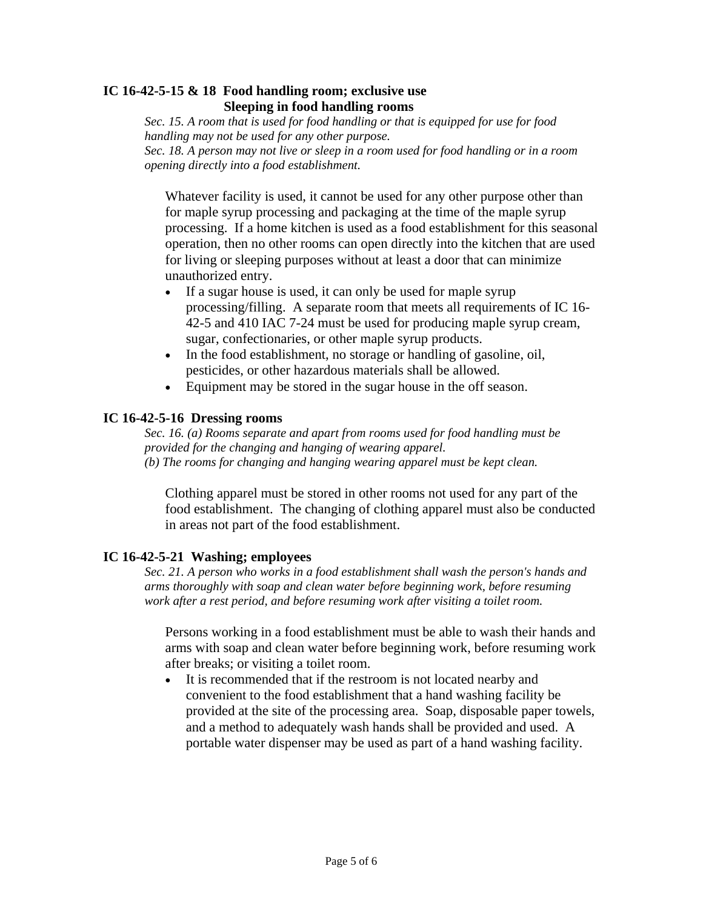### **IC 16-42-5-15 & 18 Food handling room; exclusive use Sleeping in food handling rooms**

*Sec. 15. A room that is used for food handling or that is equipped for use for food handling may not be used for any other purpose. Sec. 18. A person may not live or sleep in a room used for food handling or in a room* 

*opening directly into a food establishment.*

Whatever facility is used, it cannot be used for any other purpose other than for maple syrup processing and packaging at the time of the maple syrup processing. If a home kitchen is used as a food establishment for this seasonal operation, then no other rooms can open directly into the kitchen that are used for living or sleeping purposes without at least a door that can minimize unauthorized entry.

- If a sugar house is used, it can only be used for maple syrup processing/filling. A separate room that meets all requirements of IC 16- 42-5 and 410 IAC 7-24 must be used for producing maple syrup cream, sugar, confectionaries, or other maple syrup products.
- In the food establishment, no storage or handling of gasoline, oil, pesticides, or other hazardous materials shall be allowed.
- Equipment may be stored in the sugar house in the off season.

# **IC 16-42-5-16 Dressing rooms**

*Sec. 16. (a) Rooms separate and apart from rooms used for food handling must be provided for the changing and hanging of wearing apparel. (b) The rooms for changing and hanging wearing apparel must be kept clean.* 

 Clothing apparel must be stored in other rooms not used for any part of the food establishment. The changing of clothing apparel must also be conducted in areas not part of the food establishment.

# **IC 16-42-5-21 Washing; employees**

*Sec. 21. A person who works in a food establishment shall wash the person's hands and arms thoroughly with soap and clean water before beginning work, before resuming work after a rest period, and before resuming work after visiting a toilet room.* 

 Persons working in a food establishment must be able to wash their hands and arms with soap and clean water before beginning work, before resuming work after breaks; or visiting a toilet room.

• It is recommended that if the restroom is not located nearby and convenient to the food establishment that a hand washing facility be provided at the site of the processing area. Soap, disposable paper towels, and a method to adequately wash hands shall be provided and used. A portable water dispenser may be used as part of a hand washing facility.